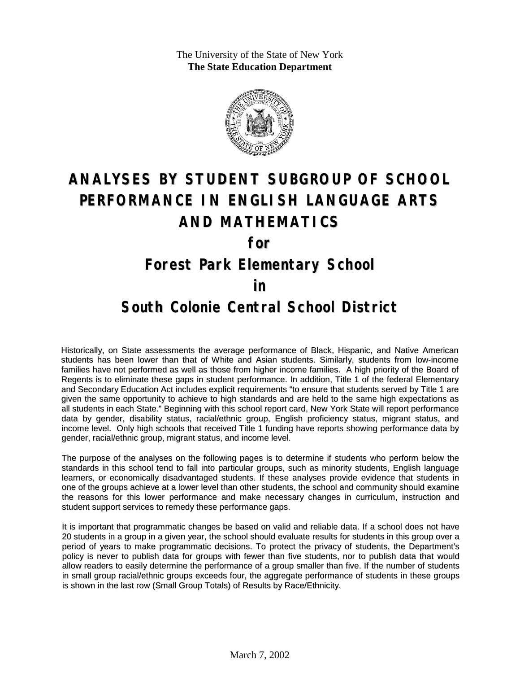The University of the State of New York **The State Education Department**



# **ANALYSES BY STUDENT SUBGROUP OF SCHOOL PERFORMANCE IN ENGLISH LANGUAGE ARTS AND MATHEMATICS**

**for**

#### **Forest Park Elementary School**

#### **in**

### **South Colonie Central School District**

Historically, on State assessments the average performance of Black, Hispanic, and Native American students has been lower than that of White and Asian students. Similarly, students from low-income families have not performed as well as those from higher income families. A high priority of the Board of Regents is to eliminate these gaps in student performance. In addition, Title 1 of the federal Elementary and Secondary Education Act includes explicit requirements "to ensure that students served by Title 1 are given the same opportunity to achieve to high standards and are held to the same high expectations as all students in each State." Beginning with this school report card, New York State will report performance data by gender, disability status, racial/ethnic group, English proficiency status, migrant status, and income level. Only high schools that received Title 1 funding have reports showing performance data by gender, racial/ethnic group, migrant status, and income level.

The purpose of the analyses on the following pages is to determine if students who perform below the standards in this school tend to fall into particular groups, such as minority students, English language learners, or economically disadvantaged students. If these analyses provide evidence that students in one of the groups achieve at a lower level than other students, the school and community should examine the reasons for this lower performance and make necessary changes in curriculum, instruction and student support services to remedy these performance gaps.

It is important that programmatic changes be based on valid and reliable data. If a school does not have 20 students in a group in a given year, the school should evaluate results for students in this group over a period of years to make programmatic decisions. To protect the privacy of students, the Department's policy is never to publish data for groups with fewer than five students, nor to publish data that would allow readers to easily determine the performance of a group smaller than five. If the number of students in small group racial/ethnic groups exceeds four, the aggregate performance of students in these groups is shown in the last row (Small Group Totals) of Results by Race/Ethnicity.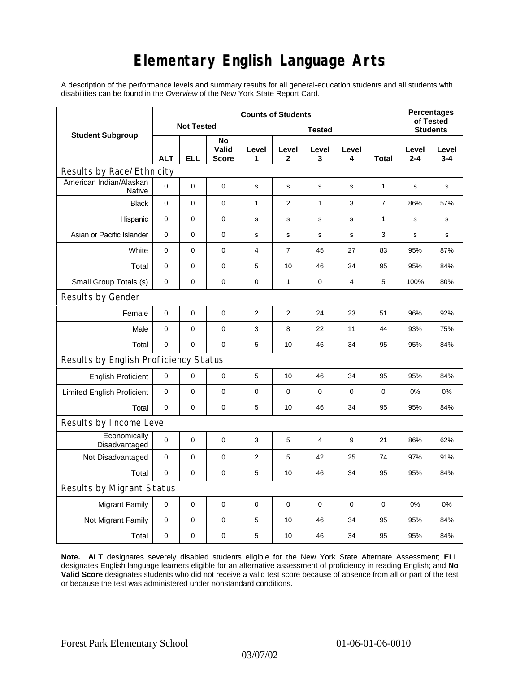## **Elementary English Language Arts**

A description of the performance levels and summary results for all general-education students and all students with disabilities can be found in the *Overview* of the New York State Report Card.

| <b>Student Subgroup</b>                  | <b>Counts of Students</b> |             |                             |                  |                       |              |             |                | <b>Percentages</b><br>of Tested |                  |
|------------------------------------------|---------------------------|-------------|-----------------------------|------------------|-----------------------|--------------|-------------|----------------|---------------------------------|------------------|
|                                          | <b>Not Tested</b>         |             |                             | <b>Tested</b>    |                       |              |             |                | <b>Students</b>                 |                  |
|                                          | <b>ALT</b>                | <b>ELL</b>  | No<br>Valid<br><b>Score</b> | Level<br>1       | Level<br>$\mathbf{2}$ | Level<br>3   | Level<br>4  | <b>Total</b>   | Level<br>$2 - 4$                | Level<br>$3 - 4$ |
| Results by Race/Ethnicity                |                           |             |                             |                  |                       |              |             |                |                                 |                  |
| American Indian/Alaskan<br><b>Native</b> | $\mathbf 0$               | 0           | 0                           | $\mathbf s$      | s                     | s            | $\mathbf s$ | 1              | s                               | s                |
| <b>Black</b>                             | $\mathbf 0$               | 0           | $\pmb{0}$                   | 1                | $\mathbf{2}$          | $\mathbf{1}$ | 3           | $\overline{7}$ | 86%                             | 57%              |
| Hispanic                                 | 0                         | 0           | $\pmb{0}$                   | s                | s                     | $\mathbf S$  | s           | 1              | s                               | s                |
| Asian or Pacific Islander                | $\mathbf 0$               | 0           | $\mathbf 0$                 | s                | $\mathbf S$           | s            | s           | 3              | s                               | s                |
| White                                    | $\mathbf 0$               | 0           | $\mathbf 0$                 | 4                | $\overline{7}$        | 45           | 27          | 83             | 95%                             | 87%              |
| Total                                    | $\mathbf 0$               | 0           | $\pmb{0}$                   | 5                | 10                    | 46           | 34          | 95             | 95%                             | 84%              |
| Small Group Totals (s)                   | 0                         | 0           | 0                           | 0                | $\mathbf{1}$          | $\pmb{0}$    | 4           | 5              | 100%                            | 80%              |
| Results by Gender                        |                           |             |                             |                  |                       |              |             |                |                                 |                  |
| Female                                   | $\mathbf 0$               | 0           | 0                           | $\boldsymbol{2}$ | 2                     | 24           | 23          | 51             | 96%                             | 92%              |
| Male                                     | $\mathbf 0$               | 0           | $\pmb{0}$                   | 3                | 8                     | 22           | 11          | 44             | 93%                             | 75%              |
| Total                                    | $\mathbf 0$               | 0           | $\mathbf 0$                 | 5                | 10                    | 46           | 34          | 95             | 95%                             | 84%              |
| Results by English Proficiency Status    |                           |             |                             |                  |                       |              |             |                |                                 |                  |
| <b>English Proficient</b>                | 0                         | $\mathsf 0$ | 0                           | 5                | 10                    | 46           | 34          | 95             | 95%                             | 84%              |
| <b>Limited English Proficient</b>        | $\mathbf 0$               | 0           | $\pmb{0}$                   | 0                | 0                     | $\mathbf 0$  | 0           | 0              | 0%                              | 0%               |
| Total                                    | $\mathbf 0$               | 0           | $\pmb{0}$                   | 5                | 10                    | 46           | 34          | 95             | 95%                             | 84%              |
| Results by Income Level                  |                           |             |                             |                  |                       |              |             |                |                                 |                  |
| Economically<br>Disadvantaged            | $\pmb{0}$                 | 0           | $\mathbf 0$                 | 3                | 5                     | 4            | 9           | 21             | 86%                             | 62%              |
| Not Disadvantaged                        | $\mathbf 0$               | 0           | $\mathbf 0$                 | $\overline{2}$   | 5                     | 42           | 25          | 74             | 97%                             | 91%              |
| Total                                    | $\mathbf 0$               | 0           | $\mathbf 0$                 | 5                | 10                    | 46           | 34          | 95             | 95%                             | 84%              |
| <b>Results by Migrant Status</b>         |                           |             |                             |                  |                       |              |             |                |                                 |                  |
| <b>Migrant Family</b>                    | 0                         | 0           | 0                           | 0                | 0                     | 0            | 0           | 0              | 0%                              | 0%               |
| Not Migrant Family                       | $\mathbf 0$               | 0           | $\pmb{0}$                   | 5                | 10                    | 46           | 34          | 95             | 95%                             | 84%              |
| Total                                    | $\mathbf 0$               | 0           | $\pmb{0}$                   | 5                | 10                    | 46           | 34          | 95             | 95%                             | 84%              |

**Note. ALT** designates severely disabled students eligible for the New York State Alternate Assessment; **ELL** designates English language learners eligible for an alternative assessment of proficiency in reading English; and **No Valid Score** designates students who did not receive a valid test score because of absence from all or part of the test or because the test was administered under nonstandard conditions.